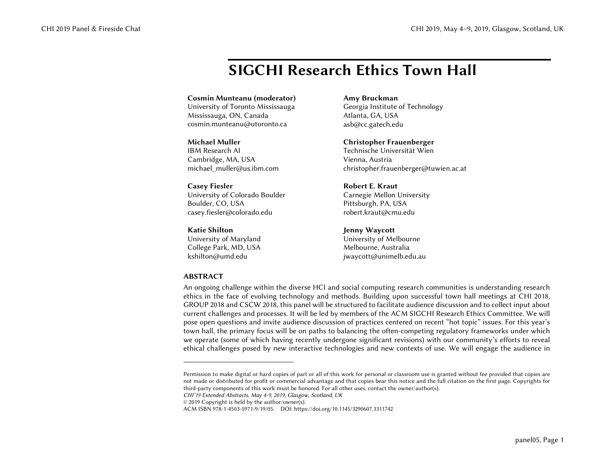# SIGCHI Research Ethics Town Hall

# Cosmin Munteanu (moderator)

University of Toronto Mississauga Mississauga, ON, Canada cosmin.munteanu@utoronto.ca

## Michael Muller

IBM Research AI Cambridge, MA, USA michael\_muller@us.ibm.com

# Casey Fiesler

University of Colorado Boulder Boulder, CO, USA casey.fiesler@colorado.edu

## Katie Shilton

University of Maryland College Park, MD, USA kshilton@umd.edu

# **ABSTRACT**

#### Amy Bruckman

Georgia Institute of Technology Atlanta, GA, USA asb@cc.gatech.edu

## Christopher Frauenberger

Technische Universität Wien Vienna, Austria christopher.frauenberger@tuwien.ac.at

## Robert E. Kraut

Carnegie Mellon University Pittsburgh, PA, USA robert.kraut@cmu.edu

## Jenny Waycott

University of Melbourne Melbourne, Australia jwaycott@unimelb.edu.au

An ongoing challenge within the diverse HCI and social computing research communities is understanding research ethics in the face of evolving technology and methods. Building upon successful town hall meetings at CHI 2018, GROUP 2018 and CSCW 2018, this panel will be structured to facilitate audience discussion and to collect input about current challenges and processes. It will be led by members of the ACM SIGCHI Research Ethics Committee. We will pose open questions and invite audience discussion of practices centered on recent "hot topic" issues. For this year's town hall, the primary focus will be on paths to balancing the often-competing regulatory frameworks under which we operate (some of which having recently undergone significant revisions) with our community's efforts to reveal ethical challenges posed by new interactive technologies and new contexts of use. We will engage the audience in

*CHI'19 Extended Abstracts, May 4-9, 2019, Glasgow, Scotland, UK* 

© 2019 Copyright is held by the author/owner(s).

Permission to make digital or hard copies of part or all of this work for personal or classroom use is granted without fee provided that copies are not made or distributed for profit or commercial advantage and that copies bear this notice and the full citation on the first page. Copyrights for third-party components of this work must be honored. For all other uses, contact the owner/author(s).

ACM ISBN 978-1-4503-5971-9/19/05. DOI: https://doi.org/10.1145/3290607.3311742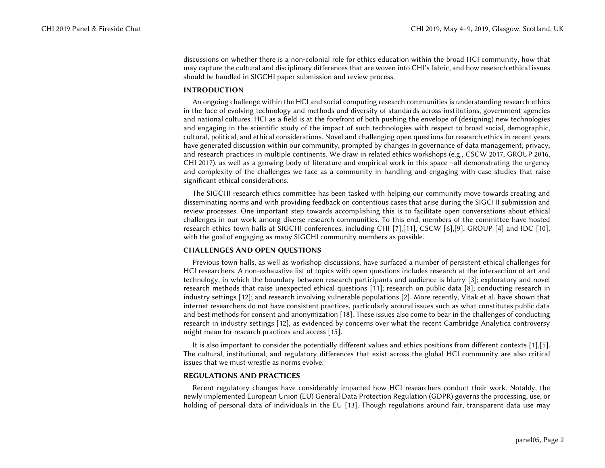discussions on whether there is a non-colonial role for ethics education within the broad HCI community, how that may capture the cultural and disciplinary differences that are woven into CHI's fabric, and how research ethical issues should be handled in SIGCHI paper submission and review process.

#### INTRODUCTION

An ongoing challenge within the HCI and social computing research communities is understanding research ethics in the face of evolving technology and methods and diversity of standards across institutions, government agencies and national cultures. HCI as a field is at the forefront of both pushing the envelope of (designing) new technologies and engaging in the scientific study of the impact of such technologies with respect to broad social, demographic, cultural, political, and ethical considerations. Novel and challenging open questions for research ethics in recent years have generated discussion within our community, prompted by changes in governance of data management, privacy, and research practices in multiple continents. We draw in related ethics workshops (e.g., CSCW 2017, GROUP 2016, CHI 2017), as well as a growing body of literature and empirical work in this space –all demonstrating the urgency and complexity of the challenges we face as a community in handling and engaging with case studies that raise significant ethical considerations.

The SIGCHI research ethics committee has been tasked with helping our community move towards creating and disseminating norms and with providing feedback on contentious cases that arise during the SIGCHI submission and review processes. One important step towards accomplishing this is to facilitate open conversations about ethical challenges in our work among diverse research communities. To this end, members of the committee have hosted research ethics town halls at SIGCHI conferences, including CHI [7],[11], CSCW [6],[9], GROUP [4] and IDC [10], with the goal of engaging as many SIGCHI community members as possible.

#### CHALLENGES AND OPEN QUESTIONS

Previous town halls, as well as workshop discussions, have surfaced a number of persistent ethical challenges for HCI researchers. A non-exhaustive list of topics with open questions includes research at the intersection of art and technology, in which the boundary between research participants and audience is blurry [3]; exploratory and novel research methods that raise unexpected ethical questions [11]; research on public data [8]; conducting research in industry settings [12]; and research involving vulnerable populations [2]. More recently, Vitak et al. have shown that internet researchers do not have consistent practices, particularly around issues such as what constitutes public data and best methods for consent and anonymization [18]. These issues also come to bear in the challenges of conducting research in industry settings [12], as evidenced by concerns over what the recent Cambridge Analytica controversy might mean for research practices and access [15].

It is also important to consider the potentially different values and ethics positions from different contexts [1],[5]. The cultural, institutional, and regulatory differences that exist across the global HCI community are also critical issues that we must wrestle as norms evolve.

#### REGULATIONS AND PRACTICES

Recent regulatory changes have considerably impacted how HCI researchers conduct their work. Notably, the newly implemented European Union (EU) General Data Protection Regulation (GDPR) governs the processing, use, or holding of personal data of individuals in the EU [13]. Though regulations around fair, transparent data use may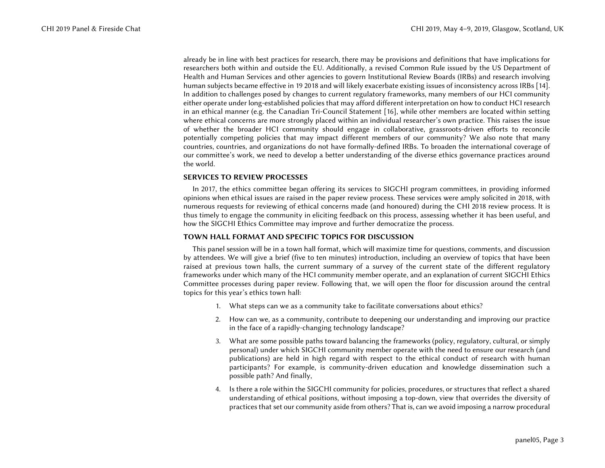already be in line with best practices for research, there may be provisions and definitions that have implications for researchers both within and outside the EU. Additionally, a revised Common Rule issued by the US Department of Health and Human Services and other agencies to govern Institutional Review Boards (IRBs) and research involving human subjects became effective in 19 2018 and will likely exacerbate existing issues of inconsistency across IRBs [14]. In addition to challenges posed by changes to current regulatory frameworks, many members of our HCI community either operate under long-established policies that may afford different interpretation on how to conduct HCI research in an ethical manner (e.g. the Canadian Tri-Council Statement [16], while other members are located within setting where ethical concerns are more strongly placed within an individual researcher's own practice. This raises the issue of whether the broader HCI community should engage in collaborative, grassroots-driven efforts to reconcile potentially competing policies that may impact different members of our community? We also note that many countries, countries, and organizations do not have formally-defined IRBs. To broaden the international coverage of our committee's work, we need to develop a better understanding of the diverse ethics governance practices around the world.

# SERVICES TO REVIEW PROCESSES

In 2017, the ethics committee began offering its services to SIGCHI program committees, in providing informed opinions when ethical issues are raised in the paper review process. These services were amply solicited in 2018, with numerous requests for reviewing of ethical concerns made (and honoured) during the CHI 2018 review process. It is thus timely to engage the community in eliciting feedback on this process, assessing whether it has been useful, and how the SIGCHI Ethics Committee may improve and further democratize the process.

#### TOWN HALL FORMAT AND SPECIFIC TOPICS FOR DISCUSSION

This panel session will be in a town hall format, which will maximize time for questions, comments, and discussion by attendees. We will give a brief (five to ten minutes) introduction, including an overview of topics that have been raised at previous town halls, the current summary of a survey of the current state of the different regulatory frameworks under which many of the HCI community member operate, and an explanation of current SIGCHI Ethics Committee processes during paper review. Following that, we will open the floor for discussion around the central topics for this year's ethics town hall:

- 1. What steps can we as a community take to facilitate conversations about ethics?
- 2. How can we, as a community, contribute to deepening our understanding and improving our practice in the face of a rapidly-changing technology landscape?
- 3. What are some possible paths toward balancing the frameworks (policy, regulatory, cultural, or simply personal) under which SIGCHI community member operate with the need to ensure our research (and publications) are held in high regard with respect to the ethical conduct of research with human participants? For example, is community-driven education and knowledge dissemination such a possible path? And finally,
- 4. Is there a role within the SIGCHI community for policies, procedures, or structures that reflect a shared understanding of ethical positions, without imposing a top-down, view that overrides the diversity of practices that set our community aside from others? That is, can we avoid imposing a narrow procedural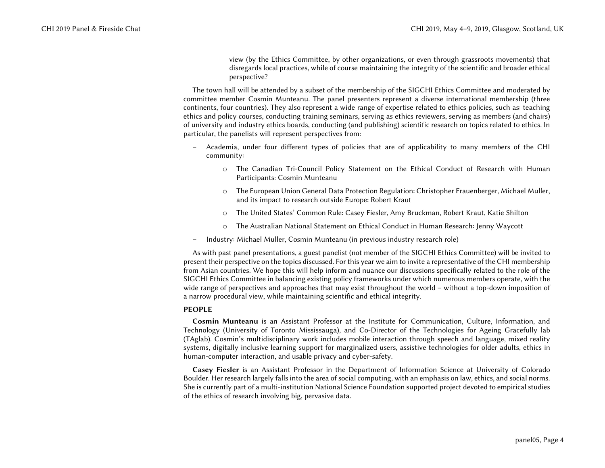view (by the Ethics Committee, by other organizations, or even through grassroots movements) that disregards local practices, while of course maintaining the integrity of the scientific and broader ethical perspective?

The town hall will be attended by a subset of the membership of the SIGCHI Ethics Committee and moderated by committee member Cosmin Munteanu. The panel presenters represent a diverse international membership (three continents, four countries). They also represent a wide range of expertise related to ethics policies, such as: teaching ethics and policy courses, conducting training seminars, serving as ethics reviewers, serving as members (and chairs) of university and industry ethics boards, conducting (and publishing) scientific research on topics related to ethics. In particular, the panelists will represent perspectives from:

- – Academia, under four different types of policies that are of applicability to many members of the CHI community:
	- o The Canadian Tri-Council Policy Statement on the Ethical Conduct of Research with Human Participants: Cosmin Munteanu
	- o The European Union General Data Protection Regulation: Christopher Frauenberger, Michael Muller, and its impact to research outside Europe: Robert Kraut
	- oThe United States' Common Rule: Casey Fiesler, Amy Bruckman, Robert Kraut, Katie Shilton
	- oThe Australian National Statement on Ethical Conduct in Human Research: Jenny Waycott
- Industry: Michael Muller, Cosmin Munteanu (in previous industry research role)

As with past panel presentations, a guest panelist (not member of the SIGCHI Ethics Committee) will be invited to present their perspective on the topics discussed. For this year we aim to invite a representative of the CHI membership from Asian countries. We hope this will help inform and nuance our discussions specifically related to the role of the SIGCHI Ethics Committee in balancing existing policy frameworks under which numerous members operate, with the wide range of perspectives and approaches that may exist throughout the world – without a top-down imposition of a narrow procedural view, while maintaining scientific and ethical integrity.

# PEOPLE

Cosmin Munteanu is an Assistant Professor at the Institute for Communication, Culture, Information, and Technology (University of Toronto Mississauga), and Co-Director of the Technologies for Ageing Gracefully lab (TAglab). Cosmin's multidisciplinary work includes mobile interaction through speech and language, mixed reality systems, digitally inclusive learning support for marginalized users, assistive technologies for older adults, ethics in human-computer interaction, and usable privacy and cyber-safety.

Casey Fiesler is an Assistant Professor in the Department of Information Science at University of Colorado Boulder. Her research largely falls into the area of social computing, with an emphasis on law, ethics, and social norms. She is currently part of a multi-institution National Science Foundation supported project devoted to empirical studies of the ethics of research involving big, pervasive data.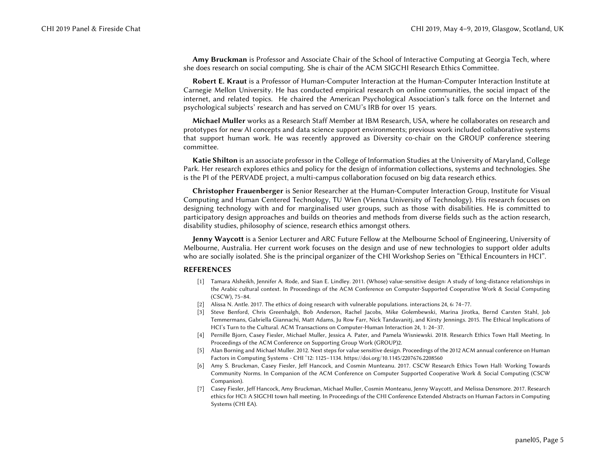Amy Bruckman is Professor and Associate Chair of the School of Interactive Computing at Georgia Tech, where she does research on social computing. She is chair of the ACM SIGCHI Research Ethics Committee.

Robert E. Kraut is a Professor of Human-Computer Interaction at the Human-Computer Interaction Institute at Carnegie Mellon University. He has conducted empirical research on online communities, the social impact of the internet, and related topics. He chaired the American Psychological Association's talk force on the Internet and psychological subjects' research and has served on CMU's IRB for over 15 years.

Michael Muller works as a Research Staff Member at IBM Research, USA, where he collaborates on research and prototypes for new AI concepts and data science support environments; previous work included collaborative systems that support human work. He was recently approved as Diversity co-chair on the GROUP conference steering committee.

Katie Shilton is an associate professor in the College of Information Studies at the University of Maryland, College Park. Her research explores ethics and policy for the design of information collections, systems and technologies. She is the PI of the PERVADE project, a multi-campus collaboration focused on big data research ethics.

Christopher Frauenberger is Senior Researcher at the Human-Computer Interaction Group, Institute for Visual Computing and Human Centered Technology, TU Wien (Vienna University of Technology). His research focuses on designing technology with and for marginalised user groups, such as those with disabilities. He is committed to participatory design approaches and builds on theories and methods from diverse fields such as the action research, disability studies, philosophy of science, research ethics amongst others.

Jenny Waycott is a Senior Lecturer and ARC Future Fellow at the Melbourne School of Engineering, University of Melbourne, Australia. Her current work focuses on the design and use of new technologies to support older adults who are socially isolated. She is the principal organizer of the CHI Workshop Series on "Ethical Encounters in HCI".

#### REFERENCES

- [1] Tamara Alsheikh, Jennifer A. Rode, and Sian E. Lindley. 2011. (Whose) value-sensitive design: A study of long-distance relationships in the Arabic cultural context. In Proceedings of the ACM Conference on Computer-Supported Cooperative Work & Social Computing (CSCW), 75–84.
- [2] Alissa N. Antle. 2017. The ethics of doing research with vulnerable populations. interactions 24, 6: 74–77.
- [3] Steve Benford, Chris Greenhalgh, Bob Anderson, Rachel Jacobs, Mike Golembewski, Marina Jirotka, Bernd Carsten Stahl, Job Temmermans, Gabriella Giannachi, Matt Adams, Ju Row Farr, Nick Tandavanitj, and Kirsty Jennings. 2015. The Ethical Implications of HCI's Turn to the Cultural. ACM Transactions on Computer-Human Interaction 24, 1: 24–37.
- [4] Pernille Bjorn, Casey Fiesler, Michael Muller, Jessica A. Pater, and Pamela Wisniewski. 2018. Research Ethics Town Hall Meeting. In Proceedings of the ACM Conference on Supporting Group Work (GROUP)2.
- [5] Alan Borning and Michael Muller. 2012. Next steps for value sensitive design. Proceedings of the 2012 ACM annual conference on Human Factors in Computing Systems - CHI '12: 1125–1134. https://doi.org/10.1145/2207676.2208560
- [6] Amy S. Bruckman, Casey Fiesler, Jeff Hancock, and Cosmin Munteanu. 2017. CSCW Research Ethics Town Hall: Working Towards Community Norms. In Companion of the ACM Conference on Computer Supported Cooperative Work & Social Computing (CSCW Companion).
- [7] Casey Fiesler, Jeff Hancock, Amy Bruckman, Michael Muller, Cosmin Monteanu, Jenny Waycott, and Melissa Densmore. 2017. Research ethics for HCI: A SIGCHI town hall meeting. In Proceedings of the CHI Conference Extended Abstracts on Human Factors in Computing Systems (CHI EA).